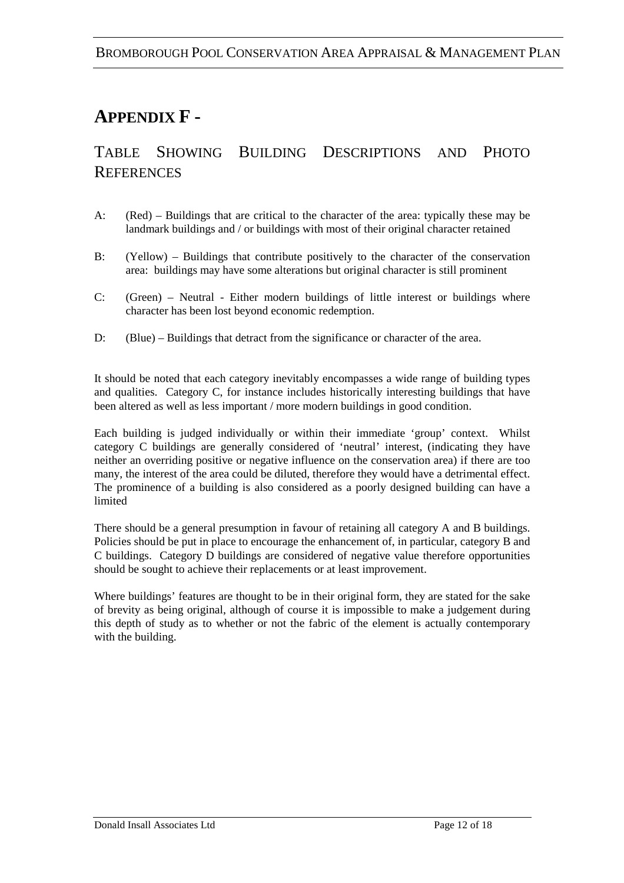#### **APPENDIX F -**

#### TABLE SHOWING BUILDING DESCRIPTIONS AND PHOTO **REFERENCES**

- A: (Red) Buildings that are critical to the character of the area: typically these may be landmark buildings and / or buildings with most of their original character retained
- B: (Yellow) Buildings that contribute positively to the character of the conservation area: buildings may have some alterations but original character is still prominent
- C: (Green) Neutral Either modern buildings of little interest or buildings where character has been lost beyond economic redemption.
- D: (Blue) Buildings that detract from the significance or character of the area.

It should be noted that each category inevitably encompasses a wide range of building types and qualities. Category C, for instance includes historically interesting buildings that have been altered as well as less important / more modern buildings in good condition.

Each building is judged individually or within their immediate 'group' context. Whilst category C buildings are generally considered of 'neutral' interest, (indicating they have neither an overriding positive or negative influence on the conservation area) if there are too many, the interest of the area could be diluted, therefore they would have a detrimental effect. The prominence of a building is also considered as a poorly designed building can have a limited

There should be a general presumption in favour of retaining all category A and B buildings. Policies should be put in place to encourage the enhancement of, in particular, category B and C buildings. Category D buildings are considered of negative value therefore opportunities should be sought to achieve their replacements or at least improvement.

Where buildings' features are thought to be in their original form, they are stated for the sake of brevity as being original, although of course it is impossible to make a judgement during this depth of study as to whether or not the fabric of the element is actually contemporary with the building.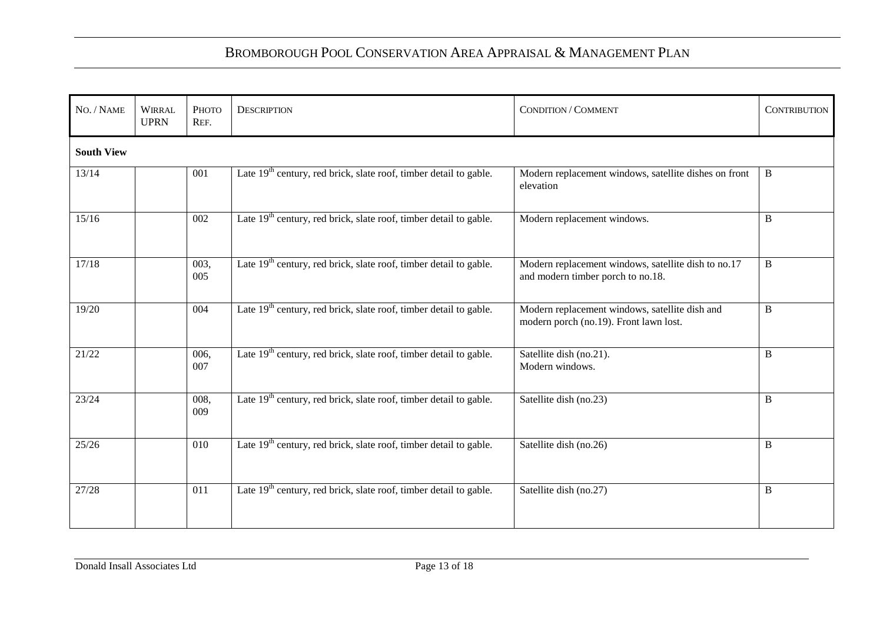| NO. / NAME        | <b>WIRRAL</b><br><b>UPRN</b> | Рното<br>REF. | <b>DESCRIPTION</b>                                                            | CONDITION / COMMENT                                                                      | <b>CONTRIBUTION</b> |  |  |
|-------------------|------------------------------|---------------|-------------------------------------------------------------------------------|------------------------------------------------------------------------------------------|---------------------|--|--|
| <b>South View</b> |                              |               |                                                                               |                                                                                          |                     |  |  |
| 13/14             |                              | 001           | Late $19th$ century, red brick, slate roof, timber detail to gable.           | Modern replacement windows, satellite dishes on front<br>elevation                       | $\, {\bf B}$        |  |  |
| 15/16             |                              | 002           | Late $19th$ century, red brick, slate roof, timber detail to gable.           | Modern replacement windows.                                                              | B                   |  |  |
| 17/18             |                              | 003,<br>005   | Late $19th$ century, red brick, slate roof, timber detail to gable.           | Modern replacement windows, satellite dish to no.17<br>and modern timber porch to no.18. | B                   |  |  |
| 19/20             |                              | 004           | Late $19th$ century, red brick, slate roof, timber detail to gable.           | Modern replacement windows, satellite dish and<br>modern porch (no.19). Front lawn lost. | B                   |  |  |
| 21/22             |                              | 006,<br>007   | Late $19th$ century, red brick, slate roof, timber detail to gable.           | Satellite dish (no.21).<br>Modern windows.                                               | $\, {\bf B}$        |  |  |
| 23/24             |                              | 008,<br>009   | Late 19 <sup>th</sup> century, red brick, slate roof, timber detail to gable. | Satellite dish (no.23)                                                                   | B                   |  |  |
| 25/26             |                              | 010           | Late 19 <sup>th</sup> century, red brick, slate roof, timber detail to gable. | Satellite dish (no.26)                                                                   | B                   |  |  |
| 27/28             |                              | 011           | Late 19 <sup>th</sup> century, red brick, slate roof, timber detail to gable. | Satellite dish (no.27)                                                                   | B                   |  |  |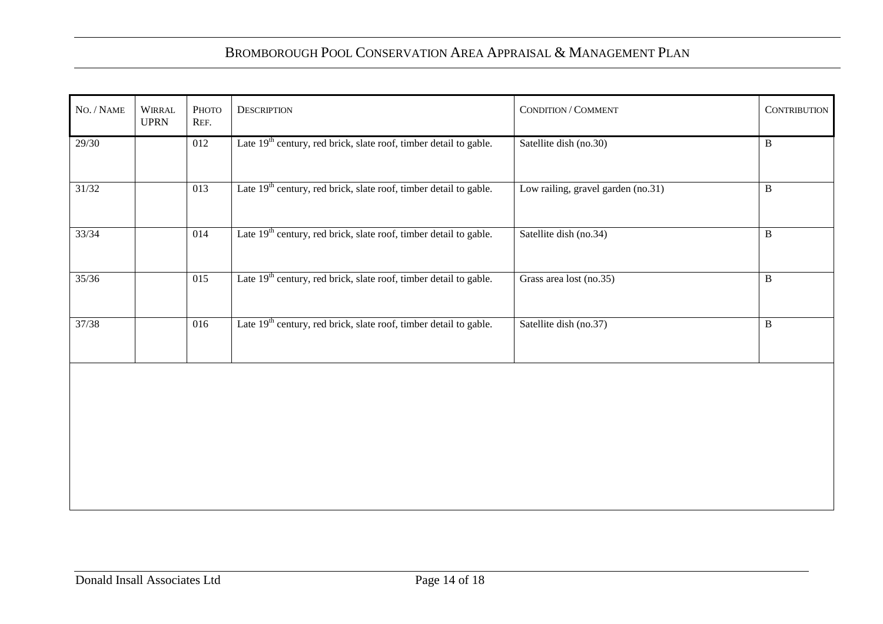| $No. / NAME$ | WIRRAL<br><b>UPRN</b> | Рното<br>REF.    | <b>DESCRIPTION</b>                                                            | CONDITION / COMMENT                | <b>CONTRIBUTION</b> |
|--------------|-----------------------|------------------|-------------------------------------------------------------------------------|------------------------------------|---------------------|
| 29/30        |                       | 012              | Late 19 <sup>th</sup> century, red brick, slate roof, timber detail to gable. | Satellite dish (no.30)             | $\, {\bf B}$        |
| 31/32        |                       | 013              | Late 19 <sup>th</sup> century, red brick, slate roof, timber detail to gable. | Low railing, gravel garden (no.31) | $\, {\bf B}$        |
| 33/34        |                       | 014              | Late $19th$ century, red brick, slate roof, timber detail to gable.           | Satellite dish (no.34)             | $\, {\bf B}$        |
| 35/36        |                       | $\overline{015}$ | Late $19th$ century, red brick, slate roof, timber detail to gable.           | Grass area lost (no.35)            | $\, {\bf B}$        |
| 37/38        |                       | $\overline{016}$ | Late 19 <sup>th</sup> century, red brick, slate roof, timber detail to gable. | Satellite dish (no.37)             | $\, {\bf B}$        |
|              |                       |                  |                                                                               |                                    |                     |
|              |                       |                  |                                                                               |                                    |                     |
|              |                       |                  |                                                                               |                                    |                     |
|              |                       |                  |                                                                               |                                    |                     |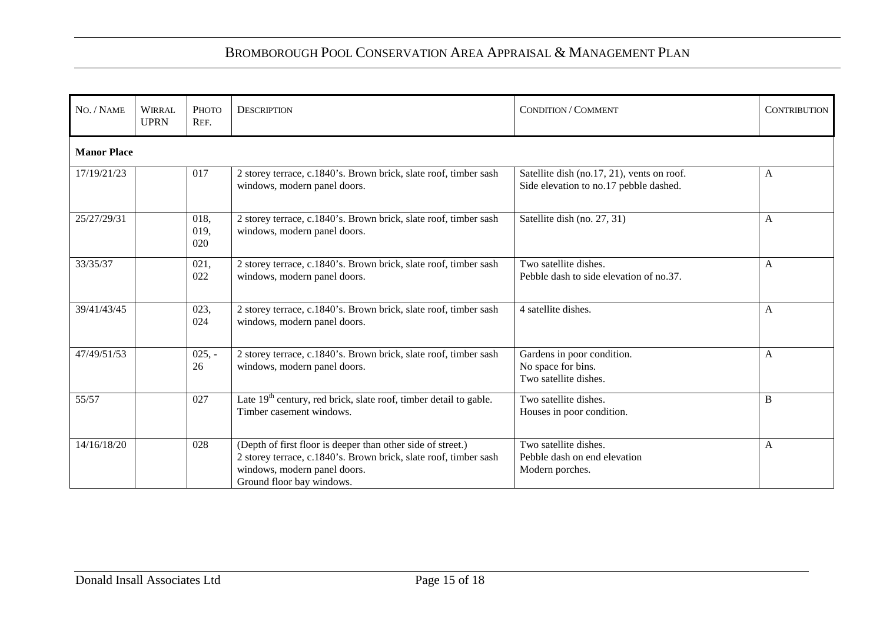| NO. / NAME  | <b>WIRRAL</b><br><b>UPRN</b> | Рното<br>REF.       | <b>DESCRIPTION</b>                                                                                                                                                                           | <b>CONDITION / COMMENT</b>                                                           | <b>CONTRIBUTION</b> |  |  |
|-------------|------------------------------|---------------------|----------------------------------------------------------------------------------------------------------------------------------------------------------------------------------------------|--------------------------------------------------------------------------------------|---------------------|--|--|
|             | <b>Manor Place</b>           |                     |                                                                                                                                                                                              |                                                                                      |                     |  |  |
| 17/19/21/23 |                              | 017                 | 2 storey terrace, c.1840's. Brown brick, slate roof, timber sash<br>windows, modern panel doors.                                                                                             | Satellite dish (no.17, 21), vents on roof.<br>Side elevation to no.17 pebble dashed. | A                   |  |  |
| 25/27/29/31 |                              | 018,<br>019,<br>020 | 2 storey terrace, c.1840's. Brown brick, slate roof, timber sash<br>windows, modern panel doors.                                                                                             | Satellite dish (no. 27, 31)                                                          | A                   |  |  |
| 33/35/37    |                              | 021,<br>022         | 2 storey terrace, c.1840's. Brown brick, slate roof, timber sash<br>windows, modern panel doors.                                                                                             | Two satellite dishes.<br>Pebble dash to side elevation of no.37.                     | A                   |  |  |
| 39/41/43/45 |                              | 023,<br>024         | 2 storey terrace, c.1840's. Brown brick, slate roof, timber sash<br>windows, modern panel doors.                                                                                             | 4 satellite dishes.                                                                  | A                   |  |  |
| 47/49/51/53 |                              | $025, -$<br>26      | 2 storey terrace, c.1840's. Brown brick, slate roof, timber sash<br>windows, modern panel doors.                                                                                             | Gardens in poor condition.<br>No space for bins.<br>Two satellite dishes.            | A                   |  |  |
| 55/57       |                              | 027                 | Late $19th$ century, red brick, slate roof, timber detail to gable.<br>Timber casement windows.                                                                                              | Two satellite dishes.<br>Houses in poor condition.                                   | B                   |  |  |
| 14/16/18/20 |                              | 028                 | (Depth of first floor is deeper than other side of street.)<br>2 storey terrace, c.1840's. Brown brick, slate roof, timber sash<br>windows, modern panel doors.<br>Ground floor bay windows. | Two satellite dishes.<br>Pebble dash on end elevation<br>Modern porches.             | A                   |  |  |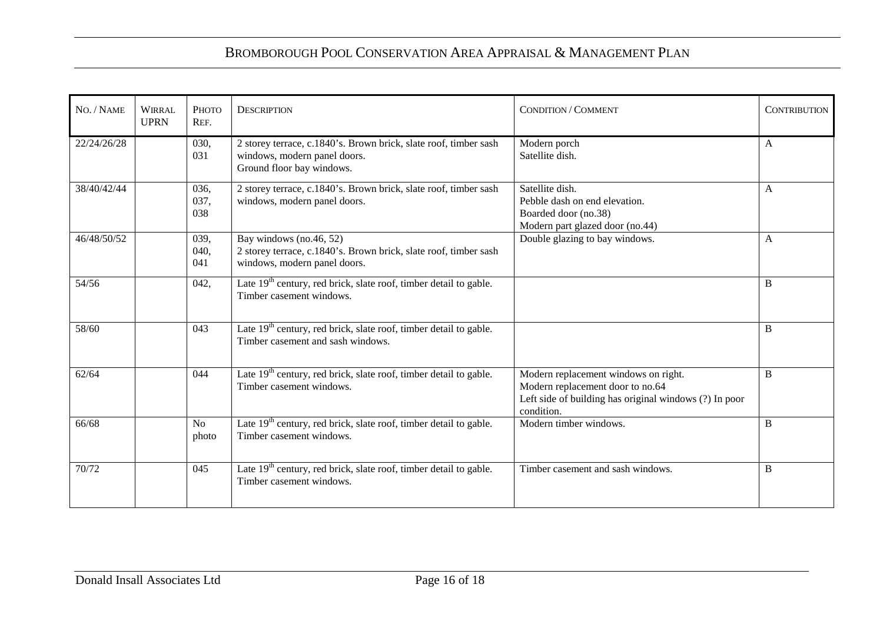| NO. / NAME  | <b>WIRRAL</b><br><b>UPRN</b> | Рното<br>REF.           | <b>DESCRIPTION</b>                                                                                                            | <b>CONDITION / COMMENT</b>                                                                                                                       | <b>CONTRIBUTION</b> |
|-------------|------------------------------|-------------------------|-------------------------------------------------------------------------------------------------------------------------------|--------------------------------------------------------------------------------------------------------------------------------------------------|---------------------|
| 22/24/26/28 |                              | 030,<br>031             | 2 storey terrace, c.1840's. Brown brick, slate roof, timber sash<br>windows, modern panel doors.<br>Ground floor bay windows. | Modern porch<br>Satellite dish.                                                                                                                  | $\mathbf{A}$        |
| 38/40/42/44 |                              | 036.<br>037,<br>038     | 2 storey terrace, c.1840's. Brown brick, slate roof, timber sash<br>windows, modern panel doors.                              | Satellite dish.<br>Pebble dash on end elevation.<br>Boarded door (no.38)<br>Modern part glazed door (no.44)                                      | A                   |
| 46/48/50/52 |                              | 039,<br>040,<br>041     | Bay windows (no.46, 52)<br>2 storey terrace, c.1840's. Brown brick, slate roof, timber sash<br>windows, modern panel doors.   | Double glazing to bay windows.                                                                                                                   | A                   |
| 54/56       |                              | 042,                    | Late $19th$ century, red brick, slate roof, timber detail to gable.<br>Timber casement windows.                               |                                                                                                                                                  | B                   |
| 58/60       |                              | 043                     | Late $19th$ century, red brick, slate roof, timber detail to gable.<br>Timber casement and sash windows.                      |                                                                                                                                                  | B                   |
| 62/64       |                              | 044                     | Late $19th$ century, red brick, slate roof, timber detail to gable.<br>Timber casement windows.                               | Modern replacement windows on right.<br>Modern replacement door to no.64<br>Left side of building has original windows (?) In poor<br>condition. | B                   |
| 66/68       |                              | N <sub>o</sub><br>photo | Late $19th$ century, red brick, slate roof, timber detail to gable.<br>Timber casement windows.                               | Modern timber windows.                                                                                                                           | B                   |
| 70/72       |                              | 045                     | Late $19th$ century, red brick, slate roof, timber detail to gable.<br>Timber casement windows.                               | Timber casement and sash windows.                                                                                                                | B                   |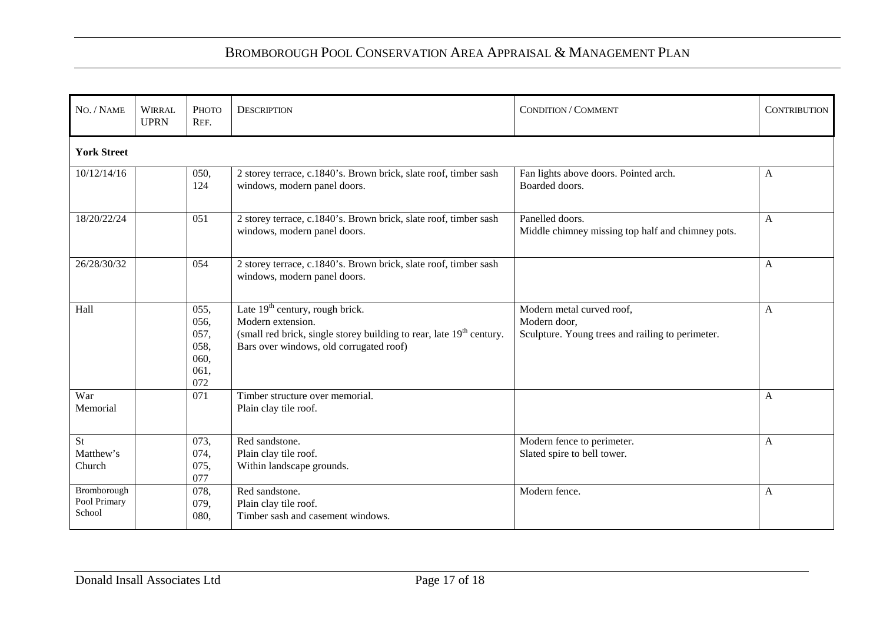| NO. / NAME                            | <b>WIRRAL</b><br><b>UPRN</b> | Рното<br>REF.                                       | <b>DESCRIPTION</b>                                                                                                                                                                    | CONDITION / COMMENT                                                                           | <b>CONTRIBUTION</b> |  |  |
|---------------------------------------|------------------------------|-----------------------------------------------------|---------------------------------------------------------------------------------------------------------------------------------------------------------------------------------------|-----------------------------------------------------------------------------------------------|---------------------|--|--|
| <b>York Street</b>                    |                              |                                                     |                                                                                                                                                                                       |                                                                                               |                     |  |  |
| 10/12/14/16                           |                              | 050,<br>124                                         | 2 storey terrace, c.1840's. Brown brick, slate roof, timber sash<br>windows, modern panel doors.                                                                                      | Fan lights above doors. Pointed arch.<br>Boarded doors.                                       | A                   |  |  |
| 18/20/22/24                           |                              | 051                                                 | 2 storey terrace, c.1840's. Brown brick, slate roof, timber sash<br>windows, modern panel doors.                                                                                      | Panelled doors.<br>Middle chimney missing top half and chimney pots.                          | A                   |  |  |
| 26/28/30/32                           |                              | 054                                                 | 2 storey terrace, c.1840's. Brown brick, slate roof, timber sash<br>windows, modern panel doors.                                                                                      |                                                                                               | A                   |  |  |
| Hall                                  |                              | 055,<br>056,<br>057,<br>058,<br>060,<br>061,<br>072 | Late $19th$ century, rough brick.<br>Modern extension.<br>(small red brick, single storey building to rear, late 19 <sup>th</sup> century.<br>Bars over windows, old corrugated roof) | Modern metal curved roof,<br>Modern door,<br>Sculpture. Young trees and railing to perimeter. | A                   |  |  |
| War<br>Memorial                       |                              | 071                                                 | Timber structure over memorial.<br>Plain clay tile roof.                                                                                                                              |                                                                                               | A                   |  |  |
| <b>St</b><br>Matthew's<br>Church      |                              | 073,<br>074,<br>075,<br>077                         | Red sandstone.<br>Plain clay tile roof.<br>Within landscape grounds.                                                                                                                  | Modern fence to perimeter.<br>Slated spire to bell tower.                                     | A                   |  |  |
| Bromborough<br>Pool Primary<br>School |                              | 078,<br>079,<br>080,                                | Red sandstone.<br>Plain clay tile roof.<br>Timber sash and casement windows.                                                                                                          | Modern fence.                                                                                 | A                   |  |  |